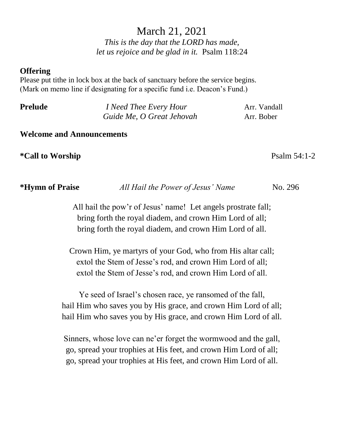# March 21, 2021

*This is the day that the LORD has made, let us rejoice and be glad in it.* Psalm 118:24

#### **Offering**

Please put tithe in lock box at the back of sanctuary before the service begins. (Mark on memo line if designating for a specific fund i.e. Deacon's Fund.)

| <b>Prelude</b> | <i>I</i> Need Thee Every Hour | Arr. Vandall |
|----------------|-------------------------------|--------------|
|                | Guide Me, O Great Jehovah     | Arr. Bober   |

#### **Welcome and Announcements**

**\*Call to Worship** Psalm 54:1-2

| <i><b>*Hymn of Praise</b></i> | All Hail the Power of Jesus' Name | No. 296 |
|-------------------------------|-----------------------------------|---------|
|-------------------------------|-----------------------------------|---------|

All hail the pow'r of Jesus' name! Let angels prostrate fall; bring forth the royal diadem, and crown Him Lord of all; bring forth the royal diadem, and crown Him Lord of all.

Crown Him, ye martyrs of your God, who from His altar call; extol the Stem of Jesse's rod, and crown Him Lord of all; extol the Stem of Jesse's rod, and crown Him Lord of all.

Ye seed of Israel's chosen race, ye ransomed of the fall, hail Him who saves you by His grace, and crown Him Lord of all; hail Him who saves you by His grace, and crown Him Lord of all.

Sinners, whose love can ne'er forget the wormwood and the gall, go, spread your trophies at His feet, and crown Him Lord of all; go, spread your trophies at His feet, and crown Him Lord of all.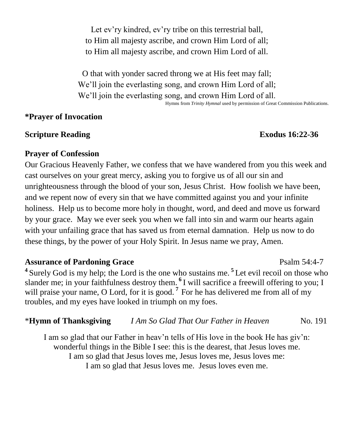Let ev'ry kindred, ev'ry tribe on this terrestrial ball, to Him all majesty ascribe, and crown Him Lord of all; to Him all majesty ascribe, and crown Him Lord of all.

O that with yonder sacred throng we at His feet may fall; We'll join the everlasting song, and crown Him Lord of all; We'll join the everlasting song, and crown Him Lord of all.

Hymns from *Trinity Hymnal* used by permission of Great Commission Publications.

### **\*Prayer of Invocation**

### **Scripture Reading Exodus** 16:22-36

### **Prayer of Confession**

Our Gracious Heavenly Father, we confess that we have wandered from you this week and cast ourselves on your great mercy, asking you to forgive us of all our sin and unrighteousness through the blood of your son, Jesus Christ. How foolish we have been, and we repent now of every sin that we have committed against you and your infinite holiness. Help us to become more holy in thought, word, and deed and move us forward by your grace. May we ever seek you when we fall into sin and warm our hearts again with your unfailing grace that has saved us from eternal damnation. Help us now to do these things, by the power of your Holy Spirit. In Jesus name we pray, Amen.

# **Assurance of Pardoning Grace**  Psalm 54:4-7

**<sup>4</sup>**Surely God is my help; the Lord is the one who sustains me. **<sup>5</sup>**Let evil recoil on those who slander me; in your faithfulness destroy them. **<sup>6</sup>**I will sacrifice a freewill offering to you; I will praise your name, O Lord, for it is good.<sup>7</sup> For he has delivered me from all of my troubles, and my eyes have looked in triumph on my foes.

# \***Hymn of Thanksgiving** *I Am So Glad That Our Father in Heaven* No. 191

I am so glad that our Father in heav'n tells of His love in the book He has giv'n: wonderful things in the Bible I see: this is the dearest, that Jesus loves me. I am so glad that Jesus loves me, Jesus loves me, Jesus loves me: I am so glad that Jesus loves me. Jesus loves even me.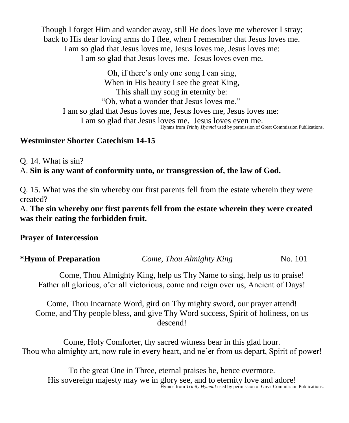Though I forget Him and wander away, still He does love me wherever I stray; back to His dear loving arms do I flee, when I remember that Jesus loves me. I am so glad that Jesus loves me, Jesus loves me, Jesus loves me: I am so glad that Jesus loves me. Jesus loves even me.

Oh, if there's only one song I can sing, When in His beauty I see the great King, This shall my song in eternity be: "Oh, what a wonder that Jesus loves me." I am so glad that Jesus loves me, Jesus loves me, Jesus loves me: I am so glad that Jesus loves me. Jesus loves even me. Hymns from *Trinity Hymnal* used by permission of Great Commission Publications.

# **Westminster Shorter Catechism 14-15**

Q. 14. What is sin?

A. **Sin is any want of conformity unto, or transgression of, the law of God.**

Q. 15. What was the sin whereby our first parents fell from the estate wherein they were created?

A. **The sin whereby our first parents fell from the estate wherein they were created was their eating the forbidden fruit.**

**Prayer of Intercession**

| *Hymn of Preparation | Come, Thou Almighty King | No. 101 |
|----------------------|--------------------------|---------|
|                      |                          |         |

Come, Thou Almighty King, help us Thy Name to sing, help us to praise! Father all glorious, o'er all victorious, come and reign over us, Ancient of Days!

Come, Thou Incarnate Word, gird on Thy mighty sword, our prayer attend! Come, and Thy people bless, and give Thy Word success, Spirit of holiness, on us descend!

Come, Holy Comforter, thy sacred witness bear in this glad hour. Thou who almighty art, now rule in every heart, and ne'er from us depart, Spirit of power!

To the great One in Three, eternal praises be, hence evermore. His sovereign majesty may we in glory see, and to eternity love and adore! Hymns from *Trinity Hymnal* used by permission of Great Commission Publications.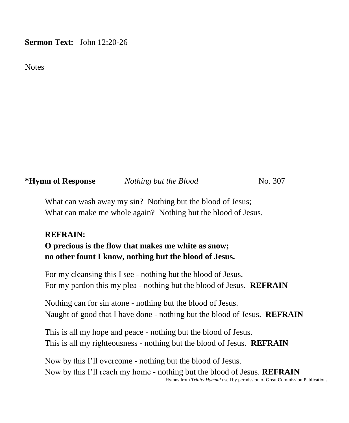### **Sermon Text:** John 12:20-26

Notes

**\*Hymn of Response** *Nothing but the Blood* No. 307

What can wash away my sin? Nothing but the blood of Jesus; What can make me whole again? Nothing but the blood of Jesus.

#### **REFRAIN:**

**O precious is the flow that makes me white as snow; no other fount I know, nothing but the blood of Jesus.**

For my cleansing this I see - nothing but the blood of Jesus. For my pardon this my plea - nothing but the blood of Jesus. **REFRAIN**

Nothing can for sin atone - nothing but the blood of Jesus. Naught of good that I have done - nothing but the blood of Jesus. **REFRAIN**

This is all my hope and peace - nothing but the blood of Jesus. This is all my righteousness - nothing but the blood of Jesus. **REFRAIN**

Now by this I'll overcome - nothing but the blood of Jesus. Now by this I'll reach my home - nothing but the blood of Jesus. **REFRAIN** Hymns from *Trinity Hymnal* used by permission of Great Commission Publications.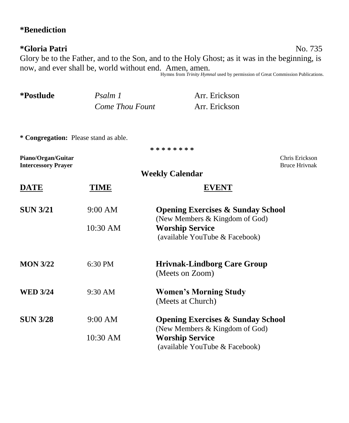# **\*Benediction**

# **\*Gloria Patri** No. 735

Glory be to the Father, and to the Son, and to the Holy Ghost; as it was in the beginning, is now, and ever shall be, world without end. Amen, amen. Hymns from *Trinity Hymnal* used by permission of Great Commission Publications.

| *Postlude                                        | Psalm 1                | Arr. Erickson                                                                              |
|--------------------------------------------------|------------------------|--------------------------------------------------------------------------------------------|
|                                                  | <b>Come Thou Fount</b> | Arr. Erickson                                                                              |
| * Congregation: Please stand as able.            |                        |                                                                                            |
|                                                  |                        | * * * * * * * *                                                                            |
| Piano/Organ/Guitar<br><b>Intercessory Prayer</b> |                        | Chris Erickson<br><b>Bruce Hrivnak</b>                                                     |
|                                                  |                        | <b>Weekly Calendar</b>                                                                     |
| <b>DATE</b>                                      | TIME                   | <b>EVENT</b>                                                                               |
| <b>SUN 3/21</b>                                  | 9:00 AM                | <b>Opening Exercises &amp; Sunday School</b>                                               |
|                                                  | 10:30 AM               | (New Members & Kingdom of God)<br><b>Worship Service</b><br>(available YouTube & Facebook) |
| <b>MON 3/22</b>                                  | 6:30 PM                | <b>Hrivnak-Lindborg Care Group</b><br>(Meets on Zoom)                                      |
| <b>WED 3/24</b>                                  | 9:30 AM                | <b>Women's Morning Study</b><br>(Meets at Church)                                          |
| <b>SUN 3/28</b>                                  | 9:00 AM                | <b>Opening Exercises &amp; Sunday School</b><br>(New Members & Kingdom of God)             |
|                                                  | 10:30 AM               | <b>Worship Service</b><br>(available YouTube & Facebook)                                   |